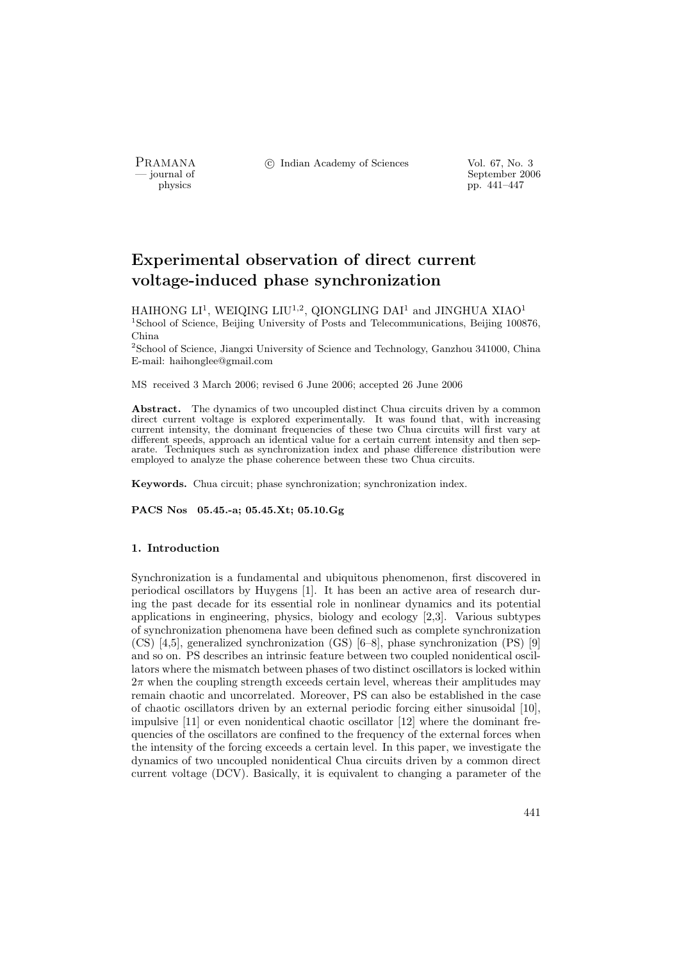PRAMANA <sup>C</sup> Indian Academy of Sciences Vol. 67, No. 3<br>
— iournal of September 200

position of the september 2006 of September 2006 of September 2006 of the september 2006 of the september 2006 of the september 2006 of the september 2006 of the september 2006 of the september 2006 of the september 2006 o pp. 441–447

# Experimental observation of direct current voltage-induced phase synchronization

HAIHONG  $\mathrm{L1^1}$ , WEIQING  $\mathrm{LIU^{1,2}}$ , QIONG $\mathrm{LING}$  DAI $^1$  and JINGHUA XIAO $^1$ <sup>1</sup>School of Science, Beijing University of Posts and Telecommunications, Beijing 100876, China

<sup>2</sup>School of Science, Jiangxi University of Science and Technology, Ganzhou 341000, China E-mail: haihonglee@gmail.com

MS received 3 March 2006; revised 6 June 2006; accepted 26 June 2006

Abstract. The dynamics of two uncoupled distinct Chua circuits driven by a common direct current voltage is explored experimentally. It was found that, with increasing current intensity, the dominant frequencies of these two Chua circuits will first vary at different speeds, approach an identical value for a certain current intensity and then separate. Techniques such as synchronization index and phase difference distribution were employed to analyze the phase coherence between these two Chua circuits.

Keywords. Chua circuit; phase synchronization; synchronization index.

PACS Nos 05.45.-a; 05.45.Xt; 05.10.Gg

# 1. Introduction

Synchronization is a fundamental and ubiquitous phenomenon, first discovered in periodical oscillators by Huygens [1]. It has been an active area of research during the past decade for its essential role in nonlinear dynamics and its potential applications in engineering, physics, biology and ecology [2,3]. Various subtypes of synchronization phenomena have been defined such as complete synchronization (CS) [4,5], generalized synchronization (GS) [6–8], phase synchronization (PS) [9] and so on. PS describes an intrinsic feature between two coupled nonidentical oscillators where the mismatch between phases of two distinct oscillators is locked within  $2\pi$  when the coupling strength exceeds certain level, whereas their amplitudes may remain chaotic and uncorrelated. Moreover, PS can also be established in the case of chaotic oscillators driven by an external periodic forcing either sinusoidal [10], impulsive [11] or even nonidentical chaotic oscillator [12] where the dominant frequencies of the oscillators are confined to the frequency of the external forces when the intensity of the forcing exceeds a certain level. In this paper, we investigate the dynamics of two uncoupled nonidentical Chua circuits driven by a common direct current voltage (DCV). Basically, it is equivalent to changing a parameter of the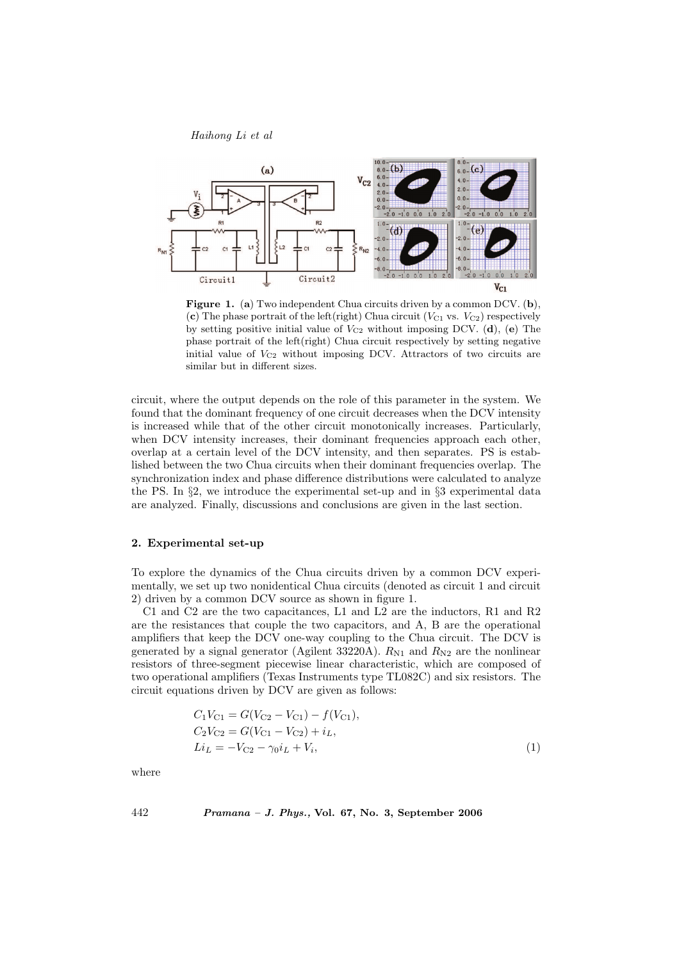Haihong Li et al



Figure 1. (a) Two independent Chua circuits driven by a common DCV. (b), (c) The phase portrait of the left(right) Chua circuit ( $V_{C1}$  vs.  $V_{C2}$ ) respectively by setting positive initial value of  $V_{C2}$  without imposing DCV. (d), (e) The phase portrait of the left(right) Chua circuit respectively by setting negative initial value of  $V_{C2}$  without imposing DCV. Attractors of two circuits are similar but in different sizes.

circuit, where the output depends on the role of this parameter in the system. We found that the dominant frequency of one circuit decreases when the DCV intensity is increased while that of the other circuit monotonically increases. Particularly, when DCV intensity increases, their dominant frequencies approach each other, overlap at a certain level of the DCV intensity, and then separates. PS is established between the two Chua circuits when their dominant frequencies overlap. The synchronization index and phase difference distributions were calculated to analyze the PS. In §2, we introduce the experimental set-up and in §3 experimental data are analyzed. Finally, discussions and conclusions are given in the last section.

## 2. Experimental set-up

To explore the dynamics of the Chua circuits driven by a common DCV experimentally, we set up two nonidentical Chua circuits (denoted as circuit 1 and circuit 2) driven by a common DCV source as shown in figure 1.

C1 and C2 are the two capacitances, L1 and L2 are the inductors, R1 and R2 are the resistances that couple the two capacitors, and A, B are the operational amplifiers that keep the DCV one-way coupling to the Chua circuit. The DCV is generated by a signal generator (Agilent 33220A).  $R_{N1}$  and  $R_{N2}$  are the nonlinear resistors of three-segment piecewise linear characteristic, which are composed of two operational amplifiers (Texas Instruments type TL082C) and six resistors. The circuit equations driven by DCV are given as follows:

$$
C_1 V_{C1} = G(V_{C2} - V_{C1}) - f(V_{C1}),
$$
  
\n
$$
C_2 V_{C2} = G(V_{C1} - V_{C2}) + i_L,
$$
  
\n
$$
Li_L = -V_{C2} - \gamma_0 i_L + V_i,
$$
\n(1)

where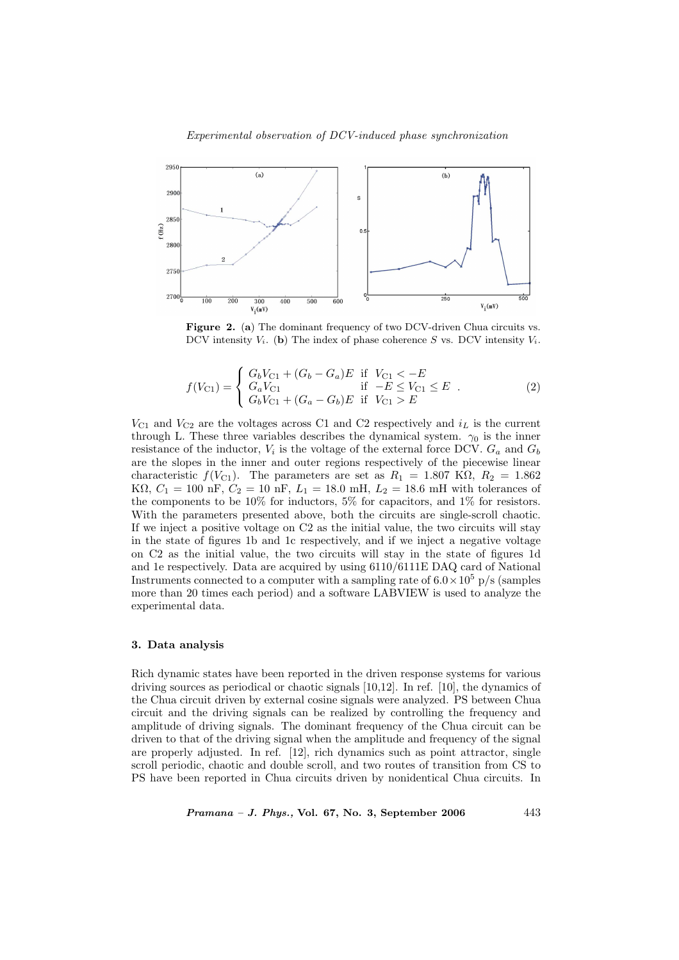

Figure 2. (a) The dominant frequency of two DCV-driven Chua circuits vs. DCV intensity  $V_i$ . (b) The index of phase coherence S vs. DCV intensity  $V_i$ .

$$
f(V_{C1}) = \begin{cases} G_b V_{C1} + (G_b - G_a) E & \text{if } V_{C1} < -E \\ G_a V_{C1} & \text{if } -E \le V_{C1} \le E \\ G_b V_{C1} + (G_a - G_b) E & \text{if } V_{C1} > E \end{cases}
$$
 (2)

 $V_{C1}$  and  $V_{C2}$  are the voltages across C1 and C2 respectively and  $i_L$  is the current through L. These three variables describes the dynamical system.  $\gamma_0$  is the inner resistance of the inductor,  $V_i$  is the voltage of the external force DCV.  $G_a$  and  $G_b$ are the slopes in the inner and outer regions respectively of the piecewise linear characteristic  $f(V_{C1})$ . The parameters are set as  $R_1 = 1.807 \text{ K}\Omega$ ,  $R_2 = 1.862$ K $\Omega$ ,  $C_1 = 100 \text{ nF}$ ,  $C_2 = 10 \text{ nF}$ ,  $L_1 = 18.0 \text{ mF}$ ,  $L_2 = 18.6 \text{ mF}$  with tolerances of the components to be 10% for inductors, 5% for capacitors, and 1% for resistors. With the parameters presented above, both the circuits are single-scroll chaotic. If we inject a positive voltage on C2 as the initial value, the two circuits will stay in the state of figures 1b and 1c respectively, and if we inject a negative voltage on C2 as the initial value, the two circuits will stay in the state of figures 1d and 1e respectively. Data are acquired by using 6110/6111E DAQ card of National Instruments connected to a computer with a sampling rate of  $6.0 \times 10^5$  p/s (samples more than 20 times each period) and a software LABVIEW is used to analyze the experimental data.

#### 3. Data analysis

Rich dynamic states have been reported in the driven response systems for various driving sources as periodical or chaotic signals [10,12]. In ref. [10], the dynamics of the Chua circuit driven by external cosine signals were analyzed. PS between Chua circuit and the driving signals can be realized by controlling the frequency and amplitude of driving signals. The dominant frequency of the Chua circuit can be driven to that of the driving signal when the amplitude and frequency of the signal are properly adjusted. In ref. [12], rich dynamics such as point attractor, single scroll periodic, chaotic and double scroll, and two routes of transition from CS to PS have been reported in Chua circuits driven by nonidentical Chua circuits. In

 $Pramana - J. Phys., Vol. 67, No. 3, September 2006$  443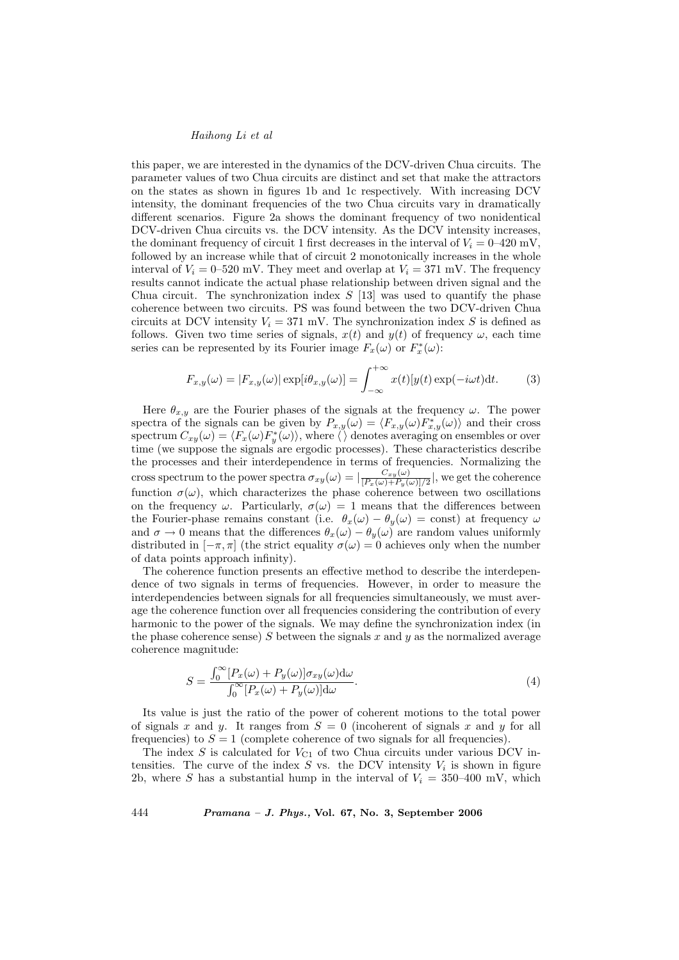## Haihong Li et al

this paper, we are interested in the dynamics of the DCV-driven Chua circuits. The parameter values of two Chua circuits are distinct and set that make the attractors on the states as shown in figures 1b and 1c respectively. With increasing DCV intensity, the dominant frequencies of the two Chua circuits vary in dramatically different scenarios. Figure 2a shows the dominant frequency of two nonidentical DCV-driven Chua circuits vs. the DCV intensity. As the DCV intensity increases, the dominant frequency of circuit 1 first decreases in the interval of  $V_i = 0-420$  mV, followed by an increase while that of circuit 2 monotonically increases in the whole interval of  $V_i = 0$ –520 mV. They meet and overlap at  $V_i = 371$  mV. The frequency results cannot indicate the actual phase relationship between driven signal and the Chua circuit. The synchronization index  $S$  [13] was used to quantify the phase coherence between two circuits. PS was found between the two DCV-driven Chua circuits at DCV intensity  $V_i = 371$  mV. The synchronization index S is defined as follows. Given two time series of signals,  $x(t)$  and  $y(t)$  of frequency  $\omega$ , each time series can be represented by its Fourier image  $F_x(\omega)$  or  $F_x^*(\omega)$ :

$$
F_{x,y}(\omega) = |F_{x,y}(\omega)| \exp[i\theta_{x,y}(\omega)] = \int_{-\infty}^{+\infty} x(t)[y(t) \exp(-i\omega t)]dt.
$$
 (3)

Here  $\theta_{x,y}$  are the Fourier phases of the signals at the frequency  $\omega$ . The power spectra of the signals can be given by  $P_{x,y}(\omega) = \langle F_{x,y}(\omega)F_{x,y}^*(\omega) \rangle$  and their cross spectrum  $C_{xy}(\omega) = \langle F_x(\omega)F_y^*(\omega) \rangle$ , where  $\langle \rangle$  denotes averaging on ensembles or over time (we suppose the signals are ergodic processes). These characteristics describe the processes and their interdependence in terms of frequencies. Normalizing the cross spectrum to the power spectra  $\sigma_{xy}(\omega) = \frac{C_{xy}(\omega)}{\sqrt{P_-(\omega)+P_-(\omega)}}$  $\frac{C_{xy}(\omega)}{[P_x(\omega)+P_y(\omega)]/2}$ , we get the coherence function  $\sigma(\omega)$ , which characterizes the phase coherence between two oscillations on the frequency  $\omega$ . Particularly,  $\sigma(\omega) = 1$  means that the differences between the Fourier-phase remains constant (i.e.  $\theta_x(\omega) - \theta_y(\omega) = \text{const}$ ) at frequency  $\omega$ and  $\sigma \to 0$  means that the differences  $\theta_x(\omega) - \theta_y(\omega)$  are random values uniformly distributed in  $[-\pi, \pi]$  (the strict equality  $\sigma(\omega) = 0$  achieves only when the number of data points approach infinity).

The coherence function presents an effective method to describe the interdependence of two signals in terms of frequencies. However, in order to measure the interdependencies between signals for all frequencies simultaneously, we must average the coherence function over all frequencies considering the contribution of every harmonic to the power of the signals. We may define the synchronization index (in the phase coherence sense) S between the signals x and y as the normalized average coherence magnitude:

$$
S = \frac{\int_0^\infty [P_x(\omega) + P_y(\omega)] \sigma_{xy}(\omega) d\omega}{\int_0^\infty [P_x(\omega) + P_y(\omega)] d\omega}.
$$
\n(4)

Its value is just the ratio of the power of coherent motions to the total power of signals x and y. It ranges from  $S = 0$  (incoherent of signals x and y for all frequencies) to  $S = 1$  (complete coherence of two signals for all frequencies).

The index  $S$  is calculated for  $V_{C1}$  of two Chua circuits under various DCV intensities. The curve of the index  $S$  vs. the DCV intensity  $V_i$  is shown in figure 2b, where S has a substantial hump in the interval of  $V_i = 350-400$  mV, which

444 Pramana – J. Phys., Vol. 67, No. 3, September 2006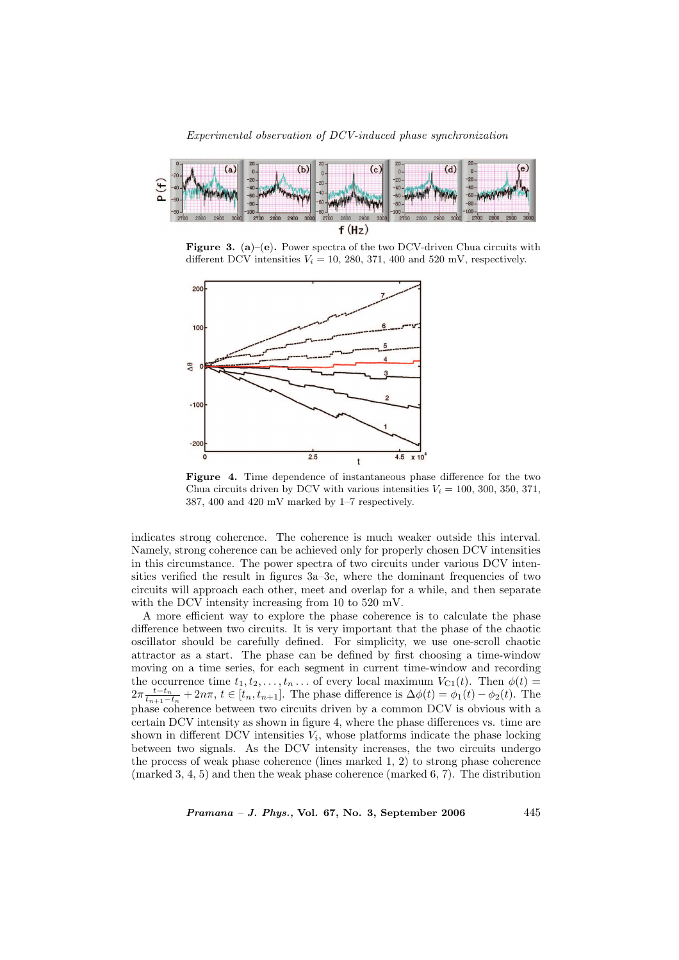

**Figure 3.** (a)–(e). Power spectra of the two DCV-driven Chua circuits with different DCV intensities  $V_i = 10, 280, 371, 400$  and 520 mV, respectively.



Figure 4. Time dependence of instantaneous phase difference for the two Chua circuits driven by DCV with various intensities  $V_i = 100, 300, 350, 371,$ 387, 400 and 420 mV marked by 1–7 respectively.

indicates strong coherence. The coherence is much weaker outside this interval. Namely, strong coherence can be achieved only for properly chosen DCV intensities in this circumstance. The power spectra of two circuits under various DCV intensities verified the result in figures 3a–3e, where the dominant frequencies of two circuits will approach each other, meet and overlap for a while, and then separate with the DCV intensity increasing from 10 to 520 mV.

A more efficient way to explore the phase coherence is to calculate the phase difference between two circuits. It is very important that the phase of the chaotic oscillator should be carefully defined. For simplicity, we use one-scroll chaotic attractor as a start. The phase can be defined by first choosing a time-window moving on a time series, for each segment in current time-window and recording the occurrence time  $t_1, t_2, \ldots, t_n \ldots$  of every local maximum  $V_{C_1}(t)$ . Then  $\phi(t) =$  $2\pi \frac{t-t_n}{t_{n+1}-t_n} + 2n\pi$ ,  $t \in [t_n, t_{n+1}]$ . The phase difference is  $\Delta\phi(t) = \phi_1(t) - \phi_2(t)$ . The phase coherence between two circuits driven by a common DCV is obvious with a certain DCV intensity as shown in figure 4, where the phase differences vs. time are shown in different DCV intensities  $V_i$ , whose platforms indicate the phase locking between two signals. As the DCV intensity increases, the two circuits undergo the process of weak phase coherence (lines marked 1, 2) to strong phase coherence (marked 3, 4, 5) and then the weak phase coherence (marked 6, 7). The distribution

 $Pramana - J. Phys., Vol. 67, No. 3, September 2006$  445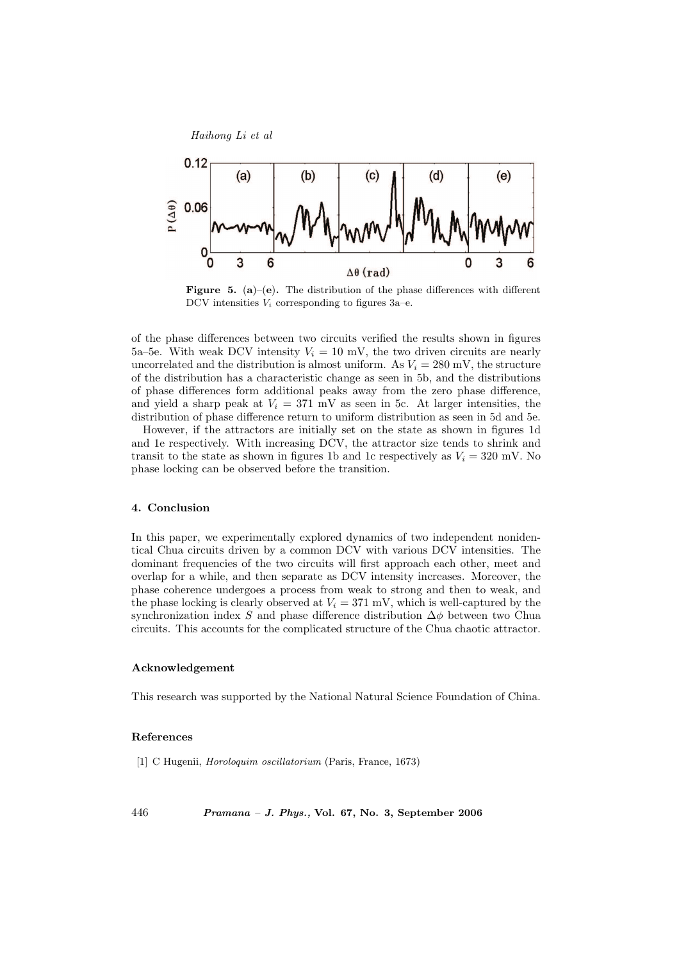

**Figure 5.** (a)–(e). The distribution of the phase differences with different DCV intensities  $V_i$  corresponding to figures 3a–e.

of the phase differences between two circuits verified the results shown in figures 5a–5e. With weak DCV intensity  $V_i = 10$  mV, the two driven circuits are nearly uncorrelated and the distribution is almost uniform. As  $V_i = 280$  mV, the structure of the distribution has a characteristic change as seen in 5b, and the distributions of phase differences form additional peaks away from the zero phase difference, and yield a sharp peak at  $V_i = 371$  mV as seen in 5c. At larger intensities, the distribution of phase difference return to uniform distribution as seen in 5d and 5e.

However, if the attractors are initially set on the state as shown in figures 1d and 1e respectively. With increasing DCV, the attractor size tends to shrink and transit to the state as shown in figures 1b and 1c respectively as  $V_i = 320$  mV. No phase locking can be observed before the transition.

## 4. Conclusion

In this paper, we experimentally explored dynamics of two independent nonidentical Chua circuits driven by a common DCV with various DCV intensities. The dominant frequencies of the two circuits will first approach each other, meet and overlap for a while, and then separate as DCV intensity increases. Moreover, the phase coherence undergoes a process from weak to strong and then to weak, and the phase locking is clearly observed at  $V_i = 371$  mV, which is well-captured by the synchronization index S and phase difference distribution  $\Delta \phi$  between two Chua circuits. This accounts for the complicated structure of the Chua chaotic attractor.

# Acknowledgement

This research was supported by the National Natural Science Foundation of China.

#### References

[1] C Hugenii, Horoloquim oscillatorium (Paris, France, 1673)

446 Pramana – J. Phys., Vol. 67, No. 3, September 2006